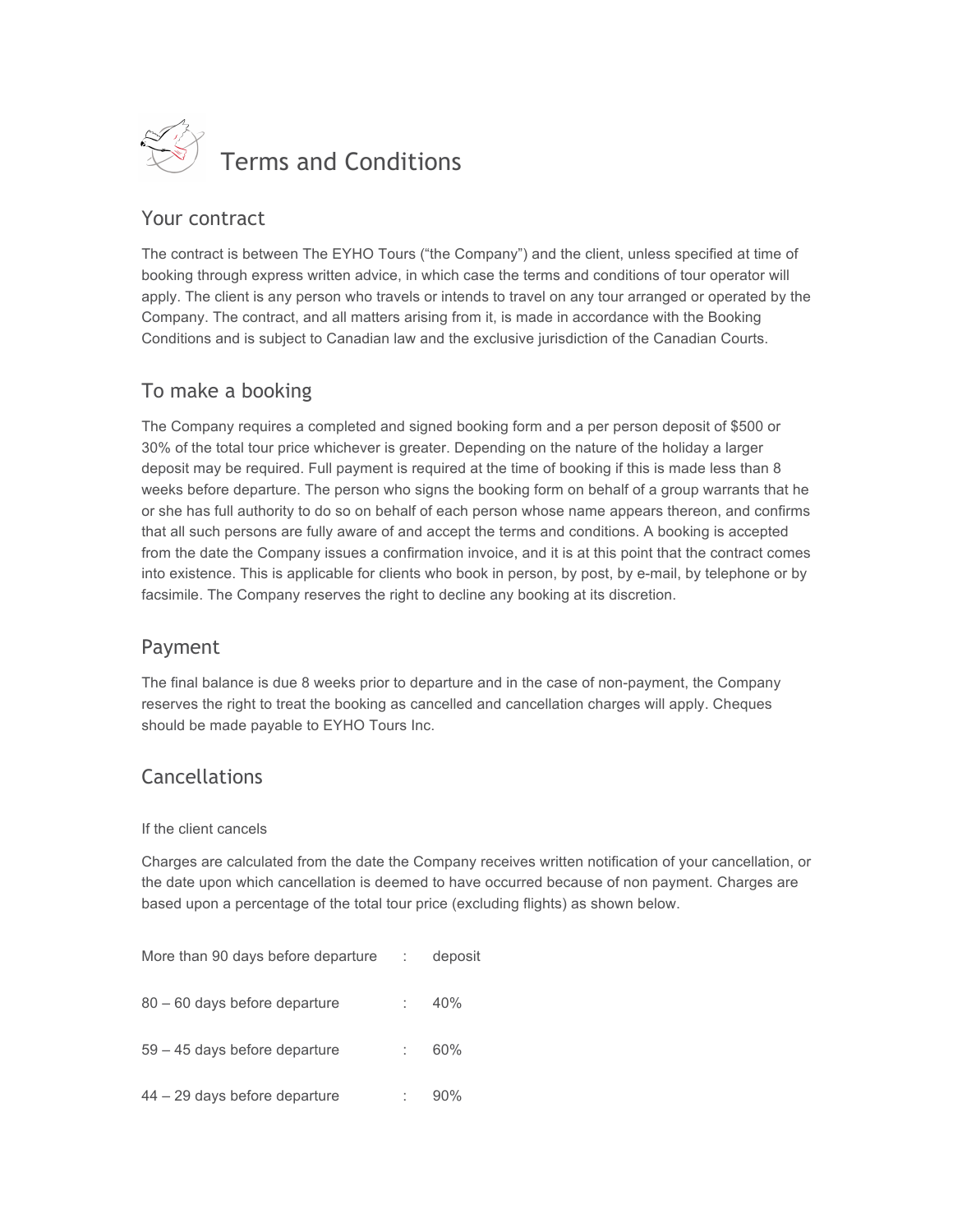

## Your contract

The contract is between The EYHO Tours ("the Company") and the client, unless specified at time of booking through express written advice, in which case the terms and conditions of tour operator will apply. The client is any person who travels or intends to travel on any tour arranged or operated by the Company. The contract, and all matters arising from it, is made in accordance with the Booking Conditions and is subject to Canadian law and the exclusive jurisdiction of the Canadian Courts.

# To make a booking

The Company requires a completed and signed booking form and a per person deposit of \$500 or 30% of the total tour price whichever is greater. Depending on the nature of the holiday a larger deposit may be required. Full payment is required at the time of booking if this is made less than 8 weeks before departure. The person who signs the booking form on behalf of a group warrants that he or she has full authority to do so on behalf of each person whose name appears thereon, and confirms that all such persons are fully aware of and accept the terms and conditions. A booking is accepted from the date the Company issues a confirmation invoice, and it is at this point that the contract comes into existence. This is applicable for clients who book in person, by post, by e-mail, by telephone or by facsimile. The Company reserves the right to decline any booking at its discretion.

## Payment

The final balance is due 8 weeks prior to departure and in the case of non-payment, the Company reserves the right to treat the booking as cancelled and cancellation charges will apply. Cheques should be made payable to EYHO Tours Inc.

# **Cancellations**

#### If the client cancels

Charges are calculated from the date the Company receives written notification of your cancellation, or the date upon which cancellation is deemed to have occurred because of non payment. Charges are based upon a percentage of the total tour price (excluding flights) as shown below.

| More than 90 days before departure | deposit |
|------------------------------------|---------|
| 80 – 60 days before departure      | 40%     |
| $59 - 45$ days before departure    | 60%     |
| $44 - 29$ days before departure    | 90%     |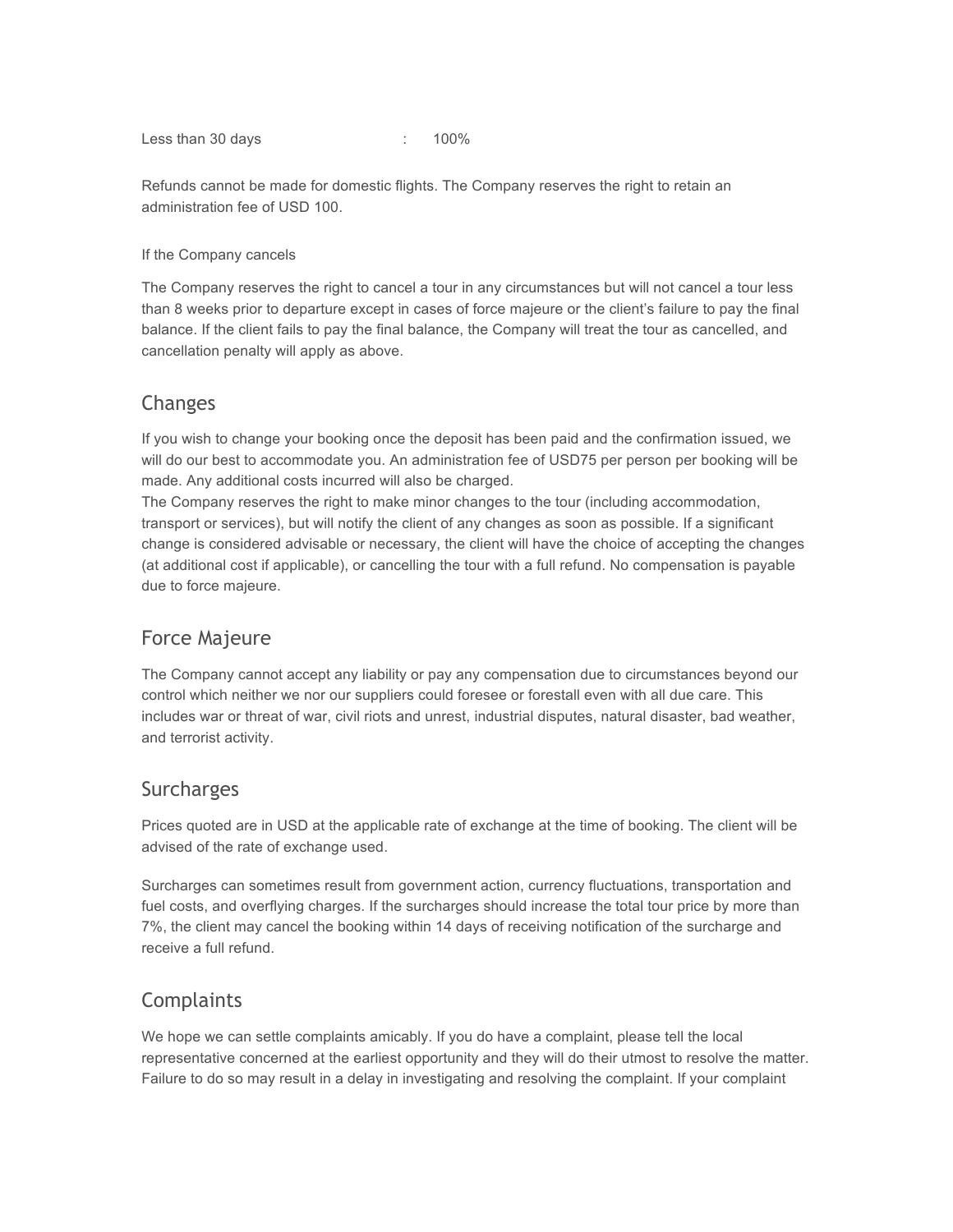Less than 30 days in the set of the set of the set of the set of the set of the set of the set of the set of the set of the set of the set of the set of the set of the set of the set of the set of the set of the set of the

Refunds cannot be made for domestic flights. The Company reserves the right to retain an administration fee of USD 100.

#### If the Company cancels

The Company reserves the right to cancel a tour in any circumstances but will not cancel a tour less than 8 weeks prior to departure except in cases of force majeure or the client's failure to pay the final balance. If the client fails to pay the final balance, the Company will treat the tour as cancelled, and cancellation penalty will apply as above.

### Changes

If you wish to change your booking once the deposit has been paid and the confirmation issued, we will do our best to accommodate you. An administration fee of USD75 per person per booking will be made. Any additional costs incurred will also be charged.

The Company reserves the right to make minor changes to the tour (including accommodation, transport or services), but will notify the client of any changes as soon as possible. If a significant change is considered advisable or necessary, the client will have the choice of accepting the changes (at additional cost if applicable), or cancelling the tour with a full refund. No compensation is payable due to force majeure.

## Force Majeure

The Company cannot accept any liability or pay any compensation due to circumstances beyond our control which neither we nor our suppliers could foresee or forestall even with all due care. This includes war or threat of war, civil riots and unrest, industrial disputes, natural disaster, bad weather, and terrorist activity.

## Surcharges

Prices quoted are in USD at the applicable rate of exchange at the time of booking. The client will be advised of the rate of exchange used.

Surcharges can sometimes result from government action, currency fluctuations, transportation and fuel costs, and overflying charges. If the surcharges should increase the total tour price by more than 7%, the client may cancel the booking within 14 days of receiving notification of the surcharge and receive a full refund.

## **Complaints**

We hope we can settle complaints amicably. If you do have a complaint, please tell the local representative concerned at the earliest opportunity and they will do their utmost to resolve the matter. Failure to do so may result in a delay in investigating and resolving the complaint. If your complaint